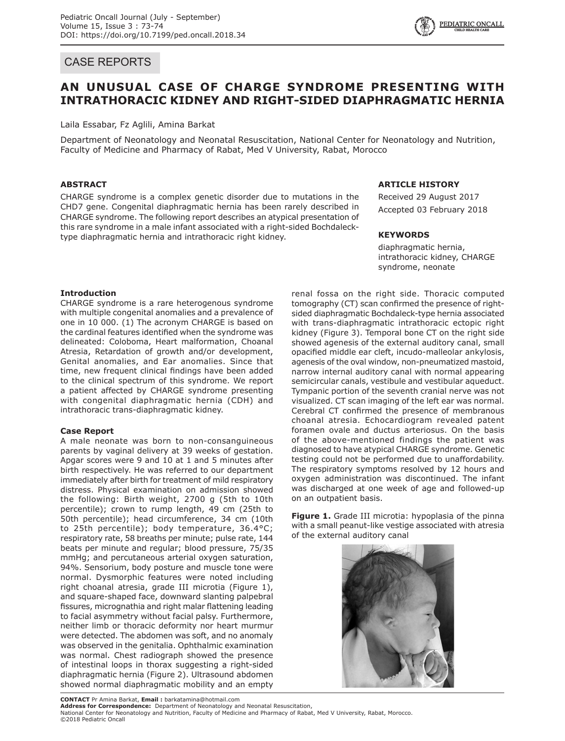# CASE REPORTS



# **AN UNUSUAL CASE OF CHARGE SYNDROME PRESENTING WITH INTRATHORACIC KIDNEY AND RIGHT-SIDED DIAPHRAGMATIC HERNIA**

Laila Essabar, Fz Aglili, Amina Barkat

Department of Neonatology and Neonatal Resuscitation, National Center for Neonatology and Nutrition, Faculty of Medicine and Pharmacy of Rabat, Med V University, Rabat, Morocco

# **ABSTRACT**

CHARGE syndrome is a complex genetic disorder due to mutations in the CHD7 gene. Congenital diaphragmatic hernia has been rarely described in CHARGE syndrome. The following report describes an atypical presentation of this rare syndrome in a male infant associated with a right-sided Bochdalecktype diaphragmatic hernia and intrathoracic right kidney.

## **ARTICLE HISTORY**

Received 29 August 2017 Accepted 03 February 2018

#### **KEYWORDS**

diaphragmatic hernia, intrathoracic kidney, CHARGE syndrome, neonate

# **Introduction**

CHARGE syndrome is a rare heterogenous syndrome with multiple congenital anomalies and a prevalence of one in 10 000. (1) The acronym CHARGE is based on the cardinal features identified when the syndrome was delineated: Coloboma, Heart malformation, Choanal Atresia, Retardation of growth and/or development, Genital anomalies, and Ear anomalies. Since that time, new frequent clinical findings have been added to the clinical spectrum of this syndrome. We report a patient affected by CHARGE syndrome presenting with congenital diaphragmatic hernia (CDH) and intrathoracic trans-diaphragmatic kidney.

# **Case Report**

A male neonate was born to non-consanguineous parents by vaginal delivery at 39 weeks of gestation. Apgar scores were 9 and 10 at 1 and 5 minutes after birth respectively. He was referred to our department immediately after birth for treatment of mild respiratory distress. Physical examination on admission showed the following: Birth weight, 2700 g (5th to 10th percentile); crown to rump length, 49 cm (25th to 50th percentile); head circumference, 34 cm (10th to 25th percentile); body temperature, 36.4°C; respiratory rate, 58 breaths per minute; pulse rate, 144 beats per minute and regular; blood pressure, 75/35 mmHg; and percutaneous arterial oxygen saturation, 94%. Sensorium, body posture and muscle tone were normal. Dysmorphic features were noted including right choanal atresia, grade III microtia (Figure 1), and square-shaped face, downward slanting palpebral fissures, micrognathia and right malar flattening leading to facial asymmetry without facial palsy. Furthermore, neither limb or thoracic deformity nor heart murmur were detected. The abdomen was soft, and no anomaly was observed in the genitalia. Ophthalmic examination was normal. Chest radiograph showed the presence of intestinal loops in thorax suggesting a right-sided diaphragmatic hernia (Figure 2). Ultrasound abdomen showed normal diaphragmatic mobility and an empty

renal fossa on the right side. Thoracic computed tomography (CT) scan confirmed the presence of rightsided diaphragmatic Bochdaleck-type hernia associated with trans-diaphragmatic intrathoracic ectopic right kidney (Figure 3). Temporal bone CT on the right side showed agenesis of the external auditory canal, small opacified middle ear cleft, incudo-malleolar ankylosis, agenesis of the oval window, non-pneumatized mastoid, narrow internal auditory canal with normal appearing semicircular canals, vestibule and vestibular aqueduct. Tympanic portion of the seventh cranial nerve was not visualized. CT scan imaging of the left ear was normal. Cerebral CT confirmed the presence of membranous choanal atresia. Echocardiogram revealed patent foramen ovale and ductus arteriosus. On the basis of the above-mentioned findings the patient was diagnosed to have atypical CHARGE syndrome. Genetic testing could not be performed due to unaffordability. The respiratory symptoms resolved by 12 hours and oxygen administration was discontinued. The infant was discharged at one week of age and followed-up on an outpatient basis.

**Figure 1.** Grade III microtia: hypoplasia of the pinna with a small peanut-like vestige associated with atresia of the external auditory canal



**Address for Correspondence:** Department of Neonatology and Neonatal Resuscitation, National Center for Neonatology and Nutrition, Faculty of Medicine and Pharmacy of Rabat, Med V University, Rabat, Morocco. ©2018 Pediatric Oncall